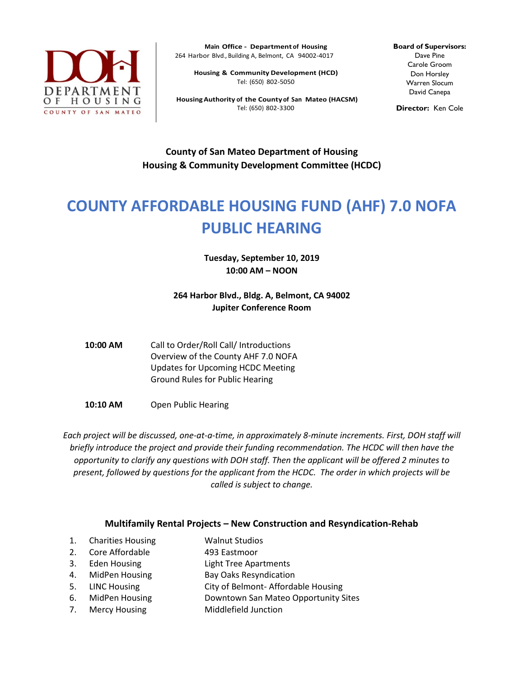

**Main Office - Department of Housing** 264 Harbor Blvd., Building A, Belmont, CA 94002-4017

**Housing & Community Development (HCD)** Tel: (650) 802-5050

**HousingAuthority of the Countyof San Mateo (HACSM)** Tel: (650) 802-3300

**Board of Supervisors:** Dave Pine Carole Groom Don Horsley Warren Slocum David Canepa

**Director:** Ken Cole

**County of San Mateo Department of Housing Housing & Community Development Committee (HCDC)**

## **COUNTY AFFORDABLE HOUSING FUND (AHF) 7.0 NOFA PUBLIC HEARING**

**Tuesday, September 10, 2019 10:00 AM – NOON**

**264 Harbor Blvd., Bldg. A, Belmont, CA 94002 Jupiter Conference Room**

**10:00 AM** Call to Order/Roll Call/ Introductions Overview of the County AHF 7.0 NOFA Updates for Upcoming HCDC Meeting Ground Rules for Public Hearing

**10:10 AM** Open Public Hearing

*Each project will be discussed, one-at-a-time, in approximately 8-minute increments. First, DOH staff will briefly introduce the project and provide their funding recommendation. The HCDC will then have the opportunity to clarify any questions with DOH staff. Then the applicant will be offered 2 minutes to present, followed by questions for the applicant from the HCDC. The order in which projects will be called is subject to change.*

## **Multifamily Rental Projects – New Construction and Resyndication-Rehab**

- 1. Charities Housing Walnut Studios
- 2. Core Affordable 493 Eastmoor
- 3. Eden Housing Light Tree Apartments
- 4. MidPen Housing Bay Oaks Resyndication
- 5. LINC Housing City of Belmont- Affordable Housing
- 6. MidPen Housing Downtown San Mateo Opportunity Sites
- 7. Mercy Housing Middlefield Junction